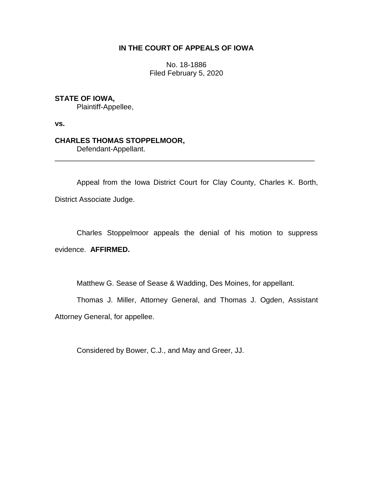## **IN THE COURT OF APPEALS OF IOWA**

No. 18-1886 Filed February 5, 2020

# **STATE OF IOWA,**

Plaintiff-Appellee,

**vs.**

## **CHARLES THOMAS STOPPELMOOR,**

Defendant-Appellant.

Appeal from the Iowa District Court for Clay County, Charles K. Borth, District Associate Judge.

\_\_\_\_\_\_\_\_\_\_\_\_\_\_\_\_\_\_\_\_\_\_\_\_\_\_\_\_\_\_\_\_\_\_\_\_\_\_\_\_\_\_\_\_\_\_\_\_\_\_\_\_\_\_\_\_\_\_\_\_\_\_\_\_

Charles Stoppelmoor appeals the denial of his motion to suppress evidence. **AFFIRMED.**

Matthew G. Sease of Sease & Wadding, Des Moines, for appellant.

Thomas J. Miller, Attorney General, and Thomas J. Ogden, Assistant Attorney General, for appellee.

Considered by Bower, C.J., and May and Greer, JJ.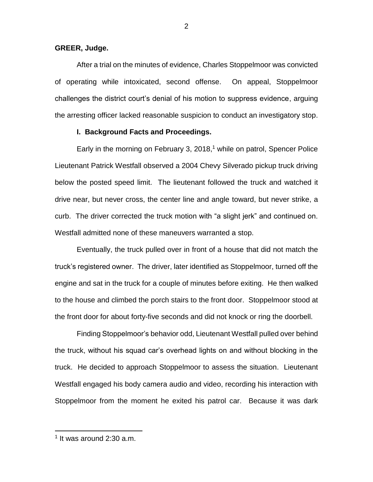#### **GREER, Judge.**

After a trial on the minutes of evidence, Charles Stoppelmoor was convicted of operating while intoxicated, second offense. On appeal, Stoppelmoor challenges the district court's denial of his motion to suppress evidence, arguing the arresting officer lacked reasonable suspicion to conduct an investigatory stop.

### **I. Background Facts and Proceedings.**

Early in the morning on February 3, 2018,<sup>1</sup> while on patrol, Spencer Police Lieutenant Patrick Westfall observed a 2004 Chevy Silverado pickup truck driving below the posted speed limit. The lieutenant followed the truck and watched it drive near, but never cross, the center line and angle toward, but never strike, a curb. The driver corrected the truck motion with "a slight jerk" and continued on. Westfall admitted none of these maneuvers warranted a stop.

Eventually, the truck pulled over in front of a house that did not match the truck's registered owner. The driver, later identified as Stoppelmoor, turned off the engine and sat in the truck for a couple of minutes before exiting. He then walked to the house and climbed the porch stairs to the front door. Stoppelmoor stood at the front door for about forty-five seconds and did not knock or ring the doorbell.

Finding Stoppelmoor's behavior odd, Lieutenant Westfall pulled over behind the truck, without his squad car's overhead lights on and without blocking in the truck. He decided to approach Stoppelmoor to assess the situation. Lieutenant Westfall engaged his body camera audio and video, recording his interaction with Stoppelmoor from the moment he exited his patrol car. Because it was dark

 $\overline{a}$ 

<sup>1</sup> It was around 2:30 a.m.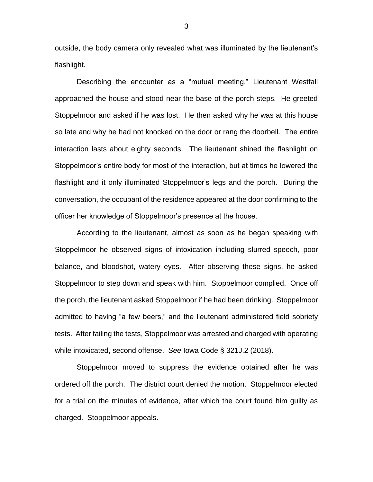outside, the body camera only revealed what was illuminated by the lieutenant's flashlight.

Describing the encounter as a "mutual meeting," Lieutenant Westfall approached the house and stood near the base of the porch steps. He greeted Stoppelmoor and asked if he was lost. He then asked why he was at this house so late and why he had not knocked on the door or rang the doorbell. The entire interaction lasts about eighty seconds. The lieutenant shined the flashlight on Stoppelmoor's entire body for most of the interaction, but at times he lowered the flashlight and it only illuminated Stoppelmoor's legs and the porch. During the conversation, the occupant of the residence appeared at the door confirming to the officer her knowledge of Stoppelmoor's presence at the house.

According to the lieutenant, almost as soon as he began speaking with Stoppelmoor he observed signs of intoxication including slurred speech, poor balance, and bloodshot, watery eyes. After observing these signs, he asked Stoppelmoor to step down and speak with him. Stoppelmoor complied. Once off the porch, the lieutenant asked Stoppelmoor if he had been drinking. Stoppelmoor admitted to having "a few beers," and the lieutenant administered field sobriety tests. After failing the tests, Stoppelmoor was arrested and charged with operating while intoxicated, second offense. *See* Iowa Code § 321J.2 (2018).

Stoppelmoor moved to suppress the evidence obtained after he was ordered off the porch. The district court denied the motion. Stoppelmoor elected for a trial on the minutes of evidence, after which the court found him guilty as charged. Stoppelmoor appeals.

3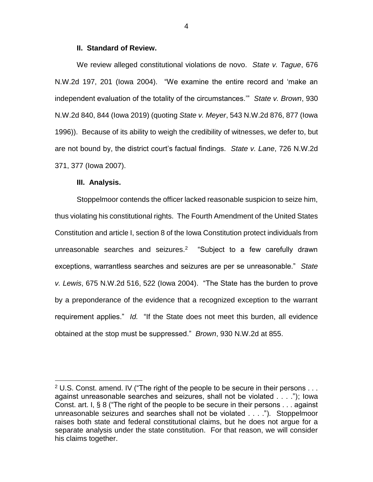### **II. Standard of Review.**

We review alleged constitutional violations de novo. *State v. Tague*, 676 N.W.2d 197, 201 (Iowa 2004). "We examine the entire record and 'make an independent evaluation of the totality of the circumstances.'" *State v. Brown*, 930 N.W.2d 840, 844 (Iowa 2019) (quoting *State v. Meyer*, 543 N.W.2d 876, 877 (Iowa 1996)). Because of its ability to weigh the credibility of witnesses, we defer to, but are not bound by, the district court's factual findings. *State v. Lane*, 726 N.W.2d 371, 377 (Iowa 2007).

#### **III. Analysis.**

 $\overline{a}$ 

Stoppelmoor contends the officer lacked reasonable suspicion to seize him, thus violating his constitutional rights. The Fourth Amendment of the United States Constitution and article I, section 8 of the Iowa Constitution protect individuals from unreasonable searches and seizures.<sup>2</sup> "Subject to a few carefully drawn exceptions, warrantless searches and seizures are per se unreasonable." *State v. Lewis*, 675 N.W.2d 516, 522 (Iowa 2004). "The State has the burden to prove by a preponderance of the evidence that a recognized exception to the warrant requirement applies." *Id.* "If the State does not meet this burden, all evidence obtained at the stop must be suppressed." *Brown*, 930 N.W.2d at 855.

4

 $2$  U.S. Const. amend. IV ("The right of the people to be secure in their persons  $\dots$ against unreasonable searches and seizures, shall not be violated . . . ."); Iowa Const. art. I, § 8 ("The right of the people to be secure in their persons . . . against unreasonable seizures and searches shall not be violated . . . ."). Stoppelmoor raises both state and federal constitutional claims, but he does not argue for a separate analysis under the state constitution. For that reason, we will consider his claims together.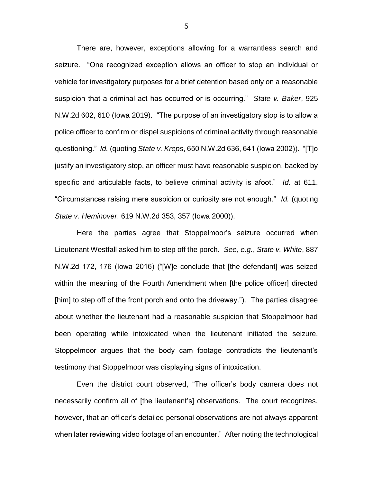There are, however, exceptions allowing for a warrantless search and seizure. "One recognized exception allows an officer to stop an individual or vehicle for investigatory purposes for a brief detention based only on a reasonable suspicion that a criminal act has occurred or is occurring." *State v. Baker*, 925 N.W.2d 602, 610 (Iowa 2019). "The purpose of an investigatory stop is to allow a police officer to confirm or dispel suspicions of criminal activity through reasonable questioning." *Id.* (quoting *State v. Kreps*, 650 N.W.2d 636, 641 (Iowa 2002)). "[T]o justify an investigatory stop, an officer must have reasonable suspicion, backed by specific and articulable facts, to believe criminal activity is afoot." *Id.* at 611. "Circumstances raising mere suspicion or curiosity are not enough." *Id.* (quoting *State v. Heminover*, 619 N.W.2d 353, 357 (Iowa 2000)).

Here the parties agree that Stoppelmoor's seizure occurred when Lieutenant Westfall asked him to step off the porch. *See, e.g.*, *State v. White*, 887 N.W.2d 172, 176 (Iowa 2016) ("[W]e conclude that [the defendant] was seized within the meaning of the Fourth Amendment when [the police officer] directed [him] to step off of the front porch and onto the driveway."). The parties disagree about whether the lieutenant had a reasonable suspicion that Stoppelmoor had been operating while intoxicated when the lieutenant initiated the seizure. Stoppelmoor argues that the body cam footage contradicts the lieutenant's testimony that Stoppelmoor was displaying signs of intoxication.

Even the district court observed, "The officer's body camera does not necessarily confirm all of [the lieutenant's] observations. The court recognizes, however, that an officer's detailed personal observations are not always apparent when later reviewing video footage of an encounter." After noting the technological